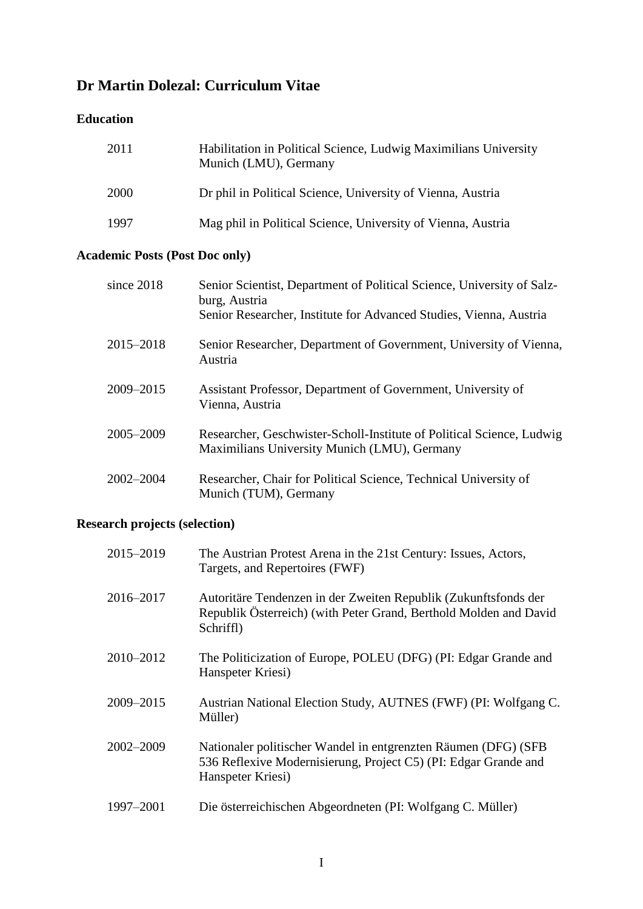# **Dr Martin Dolezal: Curriculum Vitae**

## **Education**

| 2011 | Habilitation in Political Science, Ludwig Maximilians University<br>Munich (LMU), Germany |
|------|-------------------------------------------------------------------------------------------|
| 2000 | Dr phil in Political Science, University of Vienna, Austria                               |
| 1997 | Mag phil in Political Science, University of Vienna, Austria                              |

# **Academic Posts (Post Doc only)**

| since $2018$ | Senior Scientist, Department of Political Science, University of Salz-<br>burg, Austria<br>Senior Researcher, Institute for Advanced Studies, Vienna, Austria |
|--------------|---------------------------------------------------------------------------------------------------------------------------------------------------------------|
| 2015-2018    | Senior Researcher, Department of Government, University of Vienna,<br>Austria                                                                                 |
| 2009-2015    | Assistant Professor, Department of Government, University of<br>Vienna, Austria                                                                               |
| 2005-2009    | Researcher, Geschwister-Scholl-Institute of Political Science, Ludwig<br>Maximilians University Munich (LMU), Germany                                         |
| 2002–2004    | Researcher, Chair for Political Science, Technical University of<br>Munich (TUM), Germany                                                                     |

# **Research projects (selection)**

| 2015-2019 | The Austrian Protest Arena in the 21st Century: Issues, Actors,<br>Targets, and Repertoires (FWF)                                                      |
|-----------|--------------------------------------------------------------------------------------------------------------------------------------------------------|
| 2016-2017 | Autoritäre Tendenzen in der Zweiten Republik (Zukunftsfonds der<br>Republik Österreich) (with Peter Grand, Berthold Molden and David<br>Schriffl)      |
| 2010-2012 | The Politicization of Europe, POLEU (DFG) (PI: Edgar Grande and<br>Hanspeter Kriesi)                                                                   |
| 2009-2015 | Austrian National Election Study, AUTNES (FWF) (PI: Wolfgang C.<br>Müller)                                                                             |
| 2002-2009 | Nationaler politischer Wandel in entgrenzten Räumen (DFG) (SFB<br>536 Reflexive Modernisierung, Project C5) (PI: Edgar Grande and<br>Hanspeter Kriesi) |
| 1997-2001 | Die österreichischen Abgeordneten (PI: Wolfgang C. Müller)                                                                                             |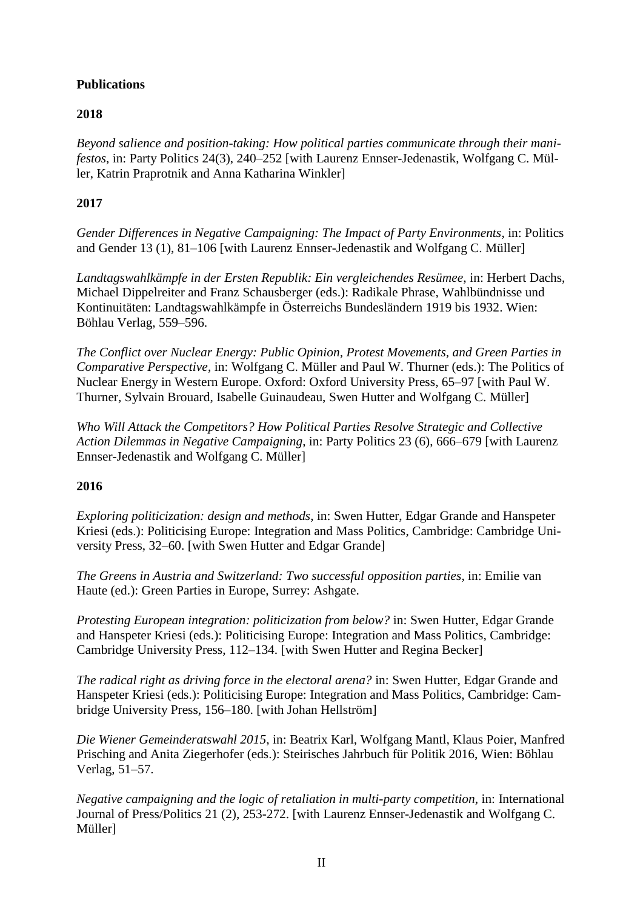## **Publications**

## **2018**

*Beyond salience and position-taking: How political parties communicate through their manifestos*, in: Party Politics 24(3), 240–252 [with Laurenz Ennser-Jedenastik, Wolfgang C. Müller, Katrin Praprotnik and Anna Katharina Winkler]

### **2017**

*Gender Differences in Negative Campaigning: The Impact of Party Environments*, in: Politics and Gender 13 (1), 81–106 [with Laurenz Ennser-Jedenastik and Wolfgang C. Müller]

*Landtagswahlkämpfe in der Ersten Republik: Ein vergleichendes Resümee*, in: Herbert Dachs, Michael Dippelreiter and Franz Schausberger (eds.): Radikale Phrase, Wahlbündnisse und Kontinuitäten: Landtagswahlkämpfe in Österreichs Bundesländern 1919 bis 1932. Wien: Böhlau Verlag, 559–596.

*The Conflict over Nuclear Energy: Public Opinion, Protest Movements, and Green Parties in Comparative Perspective*, in: Wolfgang C. Müller and Paul W. Thurner (eds.): The Politics of Nuclear Energy in Western Europe. Oxford: Oxford University Press, 65–97 [with Paul W. Thurner, Sylvain Brouard, Isabelle Guinaudeau, Swen Hutter and Wolfgang C. Müller]

*Who Will Attack the Competitors? How Political Parties Resolve Strategic and Collective Action Dilemmas in Negative Campaigning*, in: Party Politics 23 (6), 666–679 [with Laurenz Ennser-Jedenastik and Wolfgang C. Müller]

### **2016**

*Exploring politicization: design and methods*, in: Swen Hutter, Edgar Grande and Hanspeter Kriesi (eds.): Politicising Europe: Integration and Mass Politics, Cambridge: Cambridge University Press, 32–60. [with Swen Hutter and Edgar Grande]

*The Greens in Austria and Switzerland: Two successful opposition parties*, in: Emilie van Haute (ed.): Green Parties in Europe, Surrey: Ashgate.

*Protesting European integration: politicization from below?* in: Swen Hutter, Edgar Grande and Hanspeter Kriesi (eds.): Politicising Europe: Integration and Mass Politics, Cambridge: Cambridge University Press, 112–134. [with Swen Hutter and Regina Becker]

*The radical right as driving force in the electoral arena?* in: Swen Hutter, Edgar Grande and Hanspeter Kriesi (eds.): Politicising Europe: Integration and Mass Politics, Cambridge: Cambridge University Press, 156–180. [with Johan Hellström]

*Die Wiener Gemeinderatswahl 2015*, in: Beatrix Karl, Wolfgang Mantl, Klaus Poier, Manfred Prisching and Anita Ziegerhofer (eds.): Steirisches Jahrbuch für Politik 2016, Wien: Böhlau Verlag, 51–57.

*Negative campaigning and the logic of retaliation in multi-party competition*, in: International Journal of Press/Politics 21 (2), 253-272. [with Laurenz Ennser-Jedenastik and Wolfgang C. Müller]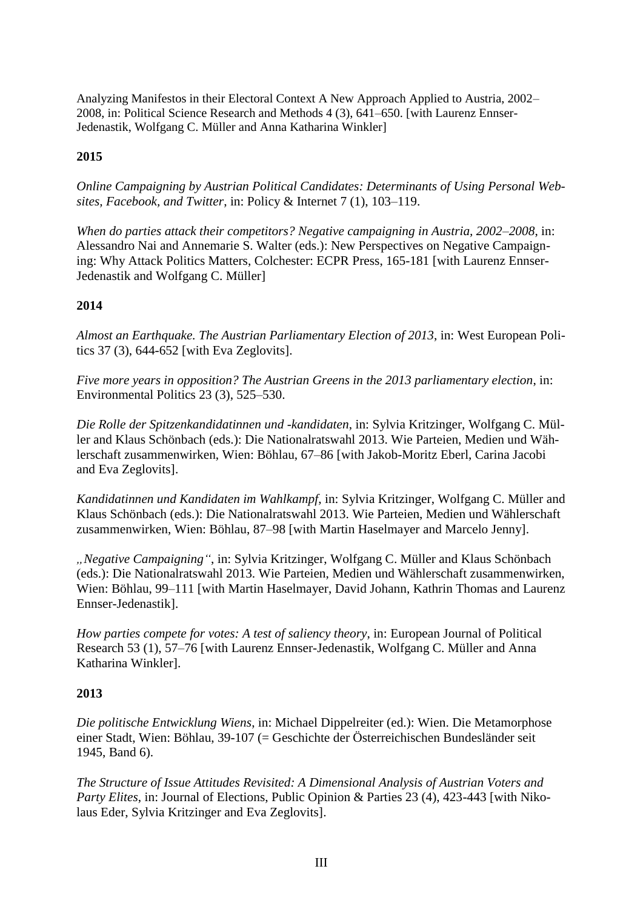Analyzing Manifestos in their Electoral Context A New Approach Applied to Austria, 2002– 2008, in: Political Science Research and Methods 4 (3), 641–650. [with Laurenz Ennser-Jedenastik, Wolfgang C. Müller and Anna Katharina Winkler]

### **2015**

*Online Campaigning by Austrian Political Candidates: Determinants of Using Personal Websites, Facebook, and Twitter*, in: Policy & Internet 7 (1), 103–119.

*When do parties attack their competitors? Negative campaigning in Austria, 2002–2008*, in: Alessandro Nai and Annemarie S. Walter (eds.): New Perspectives on Negative Campaigning: Why Attack Politics Matters, Colchester: ECPR Press, 165-181 [with Laurenz Ennser-Jedenastik and Wolfgang C. Müller]

#### **2014**

*Almost an Earthquake. The Austrian Parliamentary Election of 2013*, in: West European Politics 37 (3), 644-652 [with Eva Zeglovits].

*Five more years in opposition? The Austrian Greens in the 2013 parliamentary election*, in: Environmental Politics 23 (3), 525–530.

*Die Rolle der Spitzenkandidatinnen und -kandidaten*, in: Sylvia Kritzinger, Wolfgang C. Müller and Klaus Schönbach (eds.): Die Nationalratswahl 2013. Wie Parteien, Medien und Wählerschaft zusammenwirken, Wien: Böhlau, 67–86 [with Jakob-Moritz Eberl, Carina Jacobi and Eva Zeglovits].

*Kandidatinnen und Kandidaten im Wahlkampf*, in: Sylvia Kritzinger, Wolfgang C. Müller and Klaus Schönbach (eds.): Die Nationalratswahl 2013. Wie Parteien, Medien und Wählerschaft zusammenwirken, Wien: Böhlau, 87–98 [with Martin Haselmayer and Marcelo Jenny].

*"Negative Campaigning"*, in: Sylvia Kritzinger, Wolfgang C. Müller and Klaus Schönbach (eds.): Die Nationalratswahl 2013. Wie Parteien, Medien und Wählerschaft zusammenwirken, Wien: Böhlau, 99–111 [with Martin Haselmayer, David Johann, Kathrin Thomas and Laurenz Ennser-Jedenastik].

*How parties compete for votes: A test of saliency theory*, in: European Journal of Political Research 53 (1), 57–76 [with Laurenz Ennser-Jedenastik, Wolfgang C. Müller and Anna Katharina Winkler].

#### **2013**

*Die politische Entwicklung Wiens*, in: Michael Dippelreiter (ed.): Wien. Die Metamorphose einer Stadt, Wien: Böhlau, 39-107 (= Geschichte der Österreichischen Bundesländer seit 1945, Band 6).

*The Structure of Issue Attitudes Revisited: A Dimensional Analysis of Austrian Voters and Party Elites*, in: Journal of Elections, Public Opinion & Parties 23 (4), 423-443 [with Nikolaus Eder, Sylvia Kritzinger and Eva Zeglovits].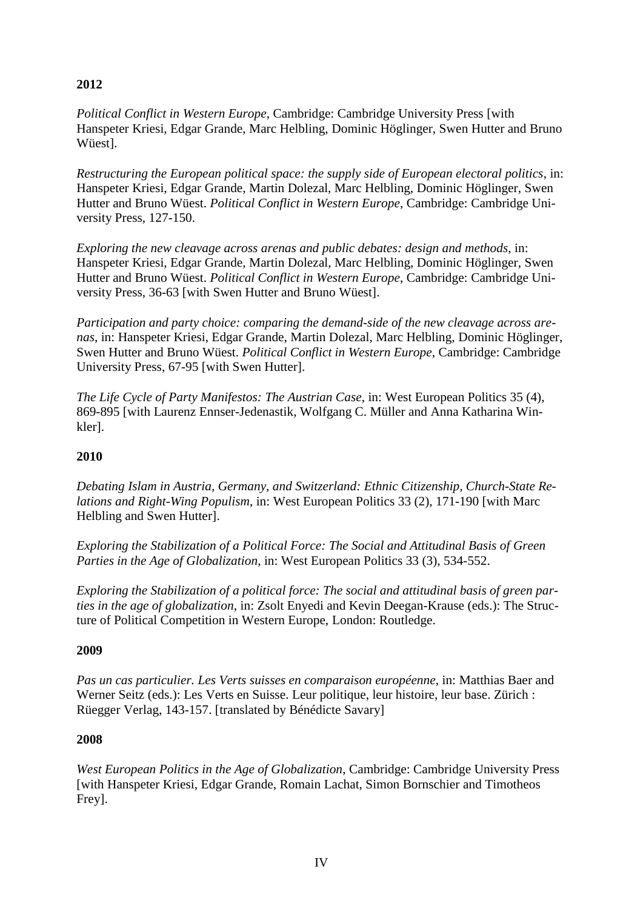# **2012**

*Political Conflict in Western Europe*, Cambridge: Cambridge University Press [with Hanspeter Kriesi, Edgar Grande, Marc Helbling, Dominic Höglinger, Swen Hutter and Bruno Wüest].

*Restructuring the European political space: the supply side of European electoral politics*, in: Hanspeter Kriesi, Edgar Grande, Martin Dolezal, Marc Helbling, Dominic Höglinger, Swen Hutter and Bruno Wüest. *Political Conflict in Western Europe*, Cambridge: Cambridge University Press, 127-150.

*Exploring the new cleavage across arenas and public debates: design and methods*, in: Hanspeter Kriesi, Edgar Grande, Martin Dolezal, Marc Helbling, Dominic Höglinger, Swen Hutter and Bruno Wüest. *Political Conflict in Western Europe*, Cambridge: Cambridge University Press, 36-63 [with Swen Hutter and Bruno Wüest].

*Participation and party choice: comparing the demand-side of the new cleavage across arenas*, in: Hanspeter Kriesi, Edgar Grande, Martin Dolezal, Marc Helbling, Dominic Höglinger, Swen Hutter and Bruno Wüest. *Political Conflict in Western Europe*, Cambridge: Cambridge University Press, 67-95 [with Swen Hutter].

*The Life Cycle of Party Manifestos: The Austrian Case*, in: West European Politics 35 (4), 869-895 [with Laurenz Ennser-Jedenastik, Wolfgang C. Müller and Anna Katharina Winkler].

## **2010**

*Debating Islam in Austria, Germany, and Switzerland: Ethnic Citizenship, Church-State Relations and Right-Wing Populism*, in: West European Politics 33 (2), 171-190 [with Marc Helbling and Swen Hutter].

*Exploring the Stabilization of a Political Force: The Social and Attitudinal Basis of Green Parties in the Age of Globalization*, in: West European Politics 33 (3), 534-552.

*Exploring the Stabilization of a political force: The social and attitudinal basis of green parties in the age of globalization*, in: Zsolt Enyedi and Kevin Deegan-Krause (eds.): The Structure of Political Competition in Western Europe, London: Routledge.

### **2009**

*Pas un cas particulier. Les Verts suisses en comparaison européenne*, in: Matthias Baer and Werner Seitz (eds.): Les Verts en Suisse. Leur politique, leur histoire, leur base. Zürich : Rüegger Verlag, 143-157. [translated by Bénédicte Savary]

### **2008**

*West European Politics in the Age of Globalization*, Cambridge: Cambridge University Press [with Hanspeter Kriesi, Edgar Grande, Romain Lachat, Simon Bornschier and Timotheos Frey].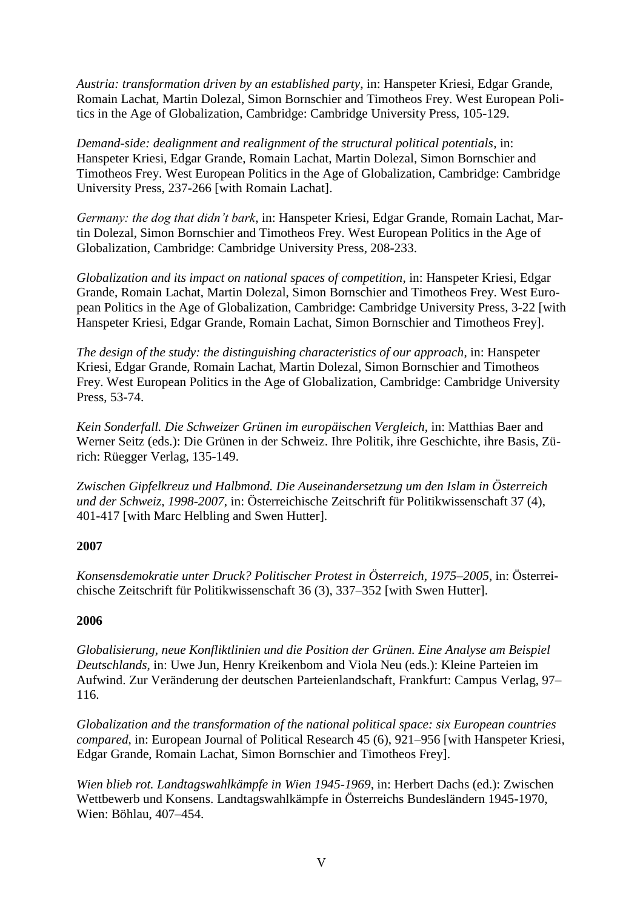*Austria: transformation driven by an established party*, in: Hanspeter Kriesi, Edgar Grande, Romain Lachat, Martin Dolezal, Simon Bornschier and Timotheos Frey. West European Politics in the Age of Globalization, Cambridge: Cambridge University Press, 105-129.

*Demand-side: dealignment and realignment of the structural political potentials*, in: Hanspeter Kriesi, Edgar Grande, Romain Lachat, Martin Dolezal, Simon Bornschier and Timotheos Frey. West European Politics in the Age of Globalization, Cambridge: Cambridge University Press, 237-266 [with Romain Lachat].

*Germany: the dog that didn't bark*, in: Hanspeter Kriesi, Edgar Grande, Romain Lachat, Martin Dolezal, Simon Bornschier and Timotheos Frey. West European Politics in the Age of Globalization, Cambridge: Cambridge University Press, 208-233.

*Globalization and its impact on national spaces of competition*, in: Hanspeter Kriesi, Edgar Grande, Romain Lachat, Martin Dolezal, Simon Bornschier and Timotheos Frey. West European Politics in the Age of Globalization, Cambridge: Cambridge University Press, 3-22 [with Hanspeter Kriesi, Edgar Grande, Romain Lachat, Simon Bornschier and Timotheos Frey].

*The design of the study: the distinguishing characteristics of our approach*, in: Hanspeter Kriesi, Edgar Grande, Romain Lachat, Martin Dolezal, Simon Bornschier and Timotheos Frey. West European Politics in the Age of Globalization, Cambridge: Cambridge University Press, 53-74.

*Kein Sonderfall. Die Schweizer Grünen im europäischen Vergleich*, in: Matthias Baer and Werner Seitz (eds.): Die Grünen in der Schweiz. Ihre Politik, ihre Geschichte, ihre Basis, Zürich: Rüegger Verlag, 135-149.

*Zwischen Gipfelkreuz und Halbmond. Die Auseinandersetzung um den Islam in Österreich und der Schweiz, 1998-2007*, in: Österreichische Zeitschrift für Politikwissenschaft 37 (4), 401-417 [with Marc Helbling and Swen Hutter].

### **2007**

*Konsensdemokratie unter Druck? Politischer Protest in Österreich, 1975–2005*, in: Österreichische Zeitschrift für Politikwissenschaft 36 (3), 337–352 [with Swen Hutter].

#### **2006**

*Globalisierung, neue Konfliktlinien und die Position der Grünen. Eine Analyse am Beispiel Deutschlands*, in: Uwe Jun, Henry Kreikenbom and Viola Neu (eds.): Kleine Parteien im Aufwind. Zur Veränderung der deutschen Parteienlandschaft, Frankfurt: Campus Verlag, 97– 116.

*Globalization and the transformation of the national political space: six European countries compared*, in: European Journal of Political Research 45 (6), 921–956 [with Hanspeter Kriesi, Edgar Grande, Romain Lachat, Simon Bornschier and Timotheos Frey].

*Wien blieb rot. Landtagswahlkämpfe in Wien 1945-1969*, in: Herbert Dachs (ed.): Zwischen Wettbewerb und Konsens. Landtagswahlkämpfe in Österreichs Bundesländern 1945-1970, Wien: Böhlau, 407–454.